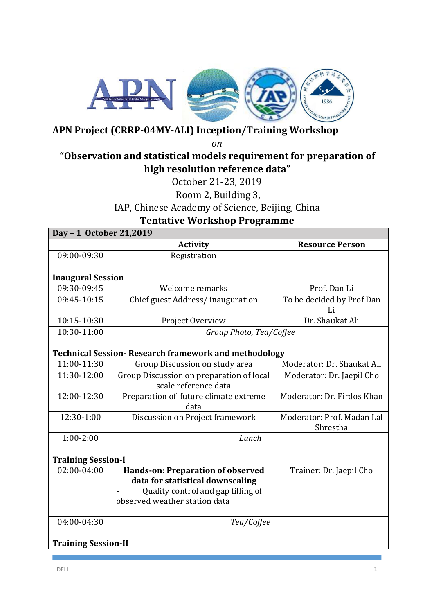

## **APN Project (CRRP-04MY-ALI) Inception/Training Workshop**

*on*

## **"Observation and statistical models requirement for preparation of high resolution reference data"**

October 21-23, 2019

Room 2, Building 3,

IAP, Chinese Academy of Science, Beijing, China

**Tentative Workshop Programme**

| Day - 1 October 21,2019    |                                                                                                                                              |                                        |  |
|----------------------------|----------------------------------------------------------------------------------------------------------------------------------------------|----------------------------------------|--|
|                            | <b>Activity</b>                                                                                                                              | <b>Resource Person</b>                 |  |
| 09:00-09:30                | Registration                                                                                                                                 |                                        |  |
|                            |                                                                                                                                              |                                        |  |
| <b>Inaugural Session</b>   |                                                                                                                                              |                                        |  |
| 09:30-09:45                | Welcome remarks                                                                                                                              | Prof. Dan Li                           |  |
| 09:45-10:15                | Chief guest Address/inauguration                                                                                                             | To be decided by Prof Dan<br>Li        |  |
| 10:15-10:30                | Project Overview                                                                                                                             | Dr. Shaukat Ali                        |  |
| 10:30-11:00                | Group Photo, Tea/Coffee                                                                                                                      |                                        |  |
|                            | <b>Technical Session- Research framework and methodology</b>                                                                                 |                                        |  |
| 11:00-11:30                | Group Discussion on study area                                                                                                               | Moderator: Dr. Shaukat Ali             |  |
| 11:30-12:00                | Group Discussion on preparation of local<br>scale reference data                                                                             | Moderator: Dr. Jaepil Cho              |  |
| 12:00-12:30                | Preparation of future climate extreme<br>data                                                                                                | Moderator: Dr. Firdos Khan             |  |
| 12:30-1:00                 | Discussion on Project framework                                                                                                              | Moderator: Prof. Madan Lal<br>Shrestha |  |
| $1:00-2:00$                | Lunch                                                                                                                                        |                                        |  |
| <b>Training Session-I</b>  |                                                                                                                                              |                                        |  |
| 02:00-04:00                | Hands-on: Preparation of observed<br>data for statistical downscaling<br>Quality control and gap filling of<br>observed weather station data | Trainer: Dr. Jaepil Cho                |  |
| 04:00-04:30                | Tea/Coffee                                                                                                                                   |                                        |  |
| <b>Training Session-II</b> |                                                                                                                                              |                                        |  |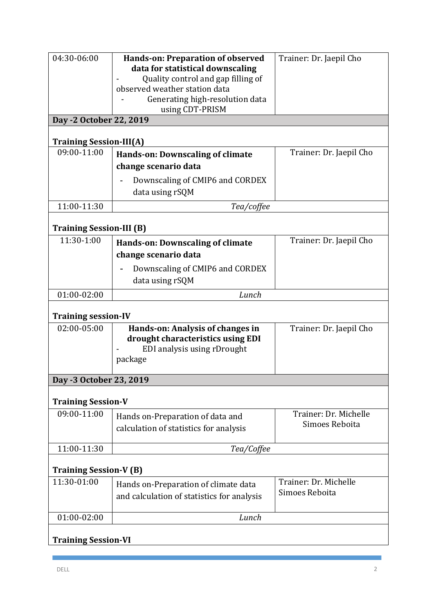| 04:30-06:00<br>Day -2 October 22, 2019        | Hands-on: Preparation of observed<br>data for statistical downscaling<br>Quality control and gap filling of<br>observed weather station data<br>Generating high-resolution data<br>using CDT-PRISM | Trainer: Dr. Jaepil Cho                 |
|-----------------------------------------------|----------------------------------------------------------------------------------------------------------------------------------------------------------------------------------------------------|-----------------------------------------|
| <b>Training Session-III(A)</b>                |                                                                                                                                                                                                    |                                         |
| 09:00-11:00                                   | Hands-on: Downscaling of climate<br>change scenario data<br>Downscaling of CMIP6 and CORDEX<br>data using rSQM                                                                                     | Trainer: Dr. Jaepil Cho                 |
| 11:00-11:30                                   | Tea/coffee                                                                                                                                                                                         |                                         |
|                                               |                                                                                                                                                                                                    |                                         |
| <b>Training Session-III (B)</b><br>11:30-1:00 |                                                                                                                                                                                                    |                                         |
|                                               | <b>Hands-on: Downscaling of climate</b><br>change scenario data<br>Downscaling of CMIP6 and CORDEX<br>data using rSQM                                                                              | Trainer: Dr. Jaepil Cho                 |
| $01:00-02:00$                                 | Lunch                                                                                                                                                                                              |                                         |
|                                               |                                                                                                                                                                                                    |                                         |
| <b>Training session-IV</b><br>02:00-05:00     | Hands-on: Analysis of changes in                                                                                                                                                                   | Trainer: Dr. Jaepil Cho                 |
|                                               | drought characteristics using EDI<br>EDI analysis using rDrought<br>package                                                                                                                        |                                         |
| Day -3 October 23, 2019                       |                                                                                                                                                                                                    |                                         |
| <b>Training Session-V</b>                     |                                                                                                                                                                                                    |                                         |
| 09:00-11:00                                   | Hands on-Preparation of data and<br>calculation of statistics for analysis                                                                                                                         | Trainer: Dr. Michelle<br>Simoes Reboita |
| 11:00-11:30                                   | Tea/Coffee                                                                                                                                                                                         |                                         |
| <b>Training Session-V (B)</b>                 |                                                                                                                                                                                                    |                                         |
| 11:30-01:00                                   | Hands on-Preparation of climate data                                                                                                                                                               | Trainer: Dr. Michelle                   |
|                                               | and calculation of statistics for analysis                                                                                                                                                         | Simoes Reboita                          |
| $01:00-02:00$                                 | Lunch                                                                                                                                                                                              |                                         |
| <b>Training Session-VI</b>                    |                                                                                                                                                                                                    |                                         |
|                                               |                                                                                                                                                                                                    |                                         |

 $\sim 10$